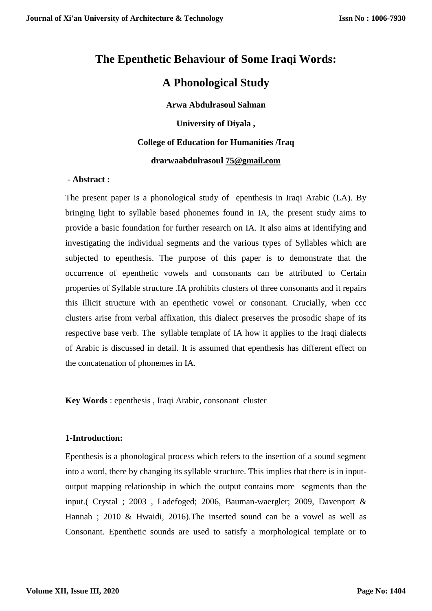# **The Epenthetic Behaviour of Some Iraqi Words:**

# **A Phonological Study**

**Arwa Abdulrasoul Salman University of Diyala , College of Education for Humanities /Iraq drarwaabdulrasoul [75@gmail.com](mailto:75@gmail.com)**

# **- Abstract :**

The present paper is a phonological study of epenthesis in Iraqi Arabic (LA). By bringing light to syllable based phonemes found in IA, the present study aims to provide a basic foundation for further research on IA. It also aims at identifying and investigating the individual segments and the various types of Syllables which are subjected to epenthesis. The purpose of this paper is to demonstrate that the occurrence of epenthetic vowels and consonants can be attributed to Certain properties of Syllable structure .IA prohibits clusters of three consonants and it repairs this illicit structure with an epenthetic vowel or consonant. Crucially, when ccc clusters arise from verbal affixation, this dialect preserves the prosodic shape of its respective base verb. The syllable template of IA how it applies to the Iraqi dialects of Arabic is discussed in detail. It is assumed that epenthesis has different effect on the concatenation of phonemes in IA.

**Key Words** : epenthesis , Iraqi Arabic, consonant cluster

# **1-Introduction:**

Epenthesis is a phonological process which refers to the insertion of a sound segment into a word, there by changing its syllable structure. This implies that there is in inputoutput mapping relationship in which the output contains more segments than the input.( Crystal ; 2003 , Ladefoged; 2006, Bauman-waergler; 2009, Davenport & Hannah ; 2010 & Hwaidi, 2016).The inserted sound can be a vowel as well as Consonant. Epenthetic sounds are used to satisfy a morphological template or to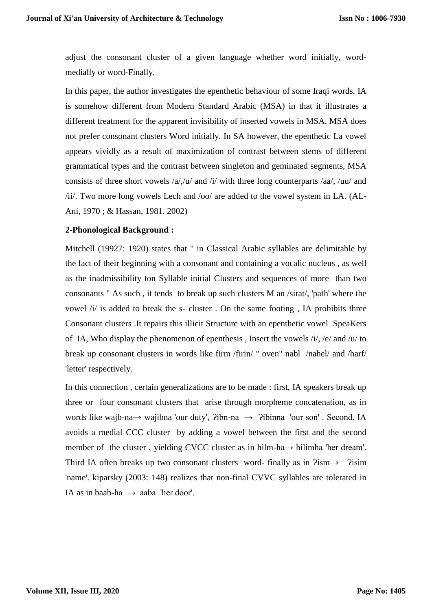adjust the consonant cluster of a given language whether word initially, wordmedially or word-Finally.

In this paper, the author investigates the epenthetic behaviour of some Iraqi words. IA is somehow different from Modern Standard Arabic (MSA) in that it illustrates a different treatment for the apparent invisibility of inserted vowels in MSA. MSA does not prefer consonant clusters Word initially. In SA however, the epenthetic La vowel appears vividly as a result of maximization of contrast between stems of different grammatical types and the contrast between singleton and geminated segments, MSA consists of three short vowels /a/,/u/ and /i/ with three long counterparts /aa/, /uu/ and /ii/. Two more long vowels Lech and /oo/ are added to the vowel system in LA. (AL-Ani, 1970 ; & Hassan, 1981. 2002)

# **2-Phonological Background :**

Mitchell (19927: 1920) states that " in Classical Arabic syllables are delimitable by the fact of their beginning with a consonant and containing a vocalic nucleus , as well as the inadmissibility ton Syllable initial Clusters and sequences of more than two consonants " As such , it tends to break up such clusters M an /sirat/, 'path' where the vowel /i/ is added to break the s- cluster . On the same footing , IA prohibits three Consonant clusters .It repairs this illicit Structure with an epenthetic vowel SpeaKers of IA, Who display the phenomenon of epenthesis , Insert the vowels /i/, /e/ and /u/ to break up consonant clusters in words like firm /firin/ " oven" nabl /nahel/ and /harf/ 'letter' respectively.

In this connection , certain generalizations are to be made : first, IA speakers break up three or four consonant clusters that arise through morpheme concatenation, as in words like wajb-na→ wajibna 'our duty', ?ibn-na → ?ibinna 'our son'. Second, IA avoids a medial CCC cluster by adding a vowel between the first and the second member of the cluster , yielding CVCC cluster as in hilm-ha→ hilimha 'her dream'. Third IA often breaks up two consonant clusters word- finally as in  $\frac{2 \times 10^8}{100}$   $\rightarrow$   $\frac{2 \times 10^8}{100}$ 'name'. kiparsky (2003: 148) realizes that non-final CVVC syllables are tolerated in IA as in baab-ha  $\rightarrow$  aaba 'her door'.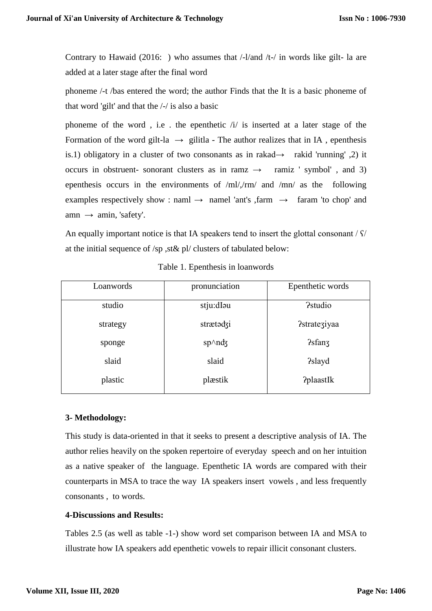Contrary to Hawaid (2016: ) who assumes that /-l/and /t-/ in words like gilt- la are added at a later stage after the final word

phoneme /-t /bas entered the word; the author Finds that the It is a basic phoneme of that word 'gilt' and that the /-/ is also a basic

phoneme of the word, i.e. the epenthetic  $\lambda i$  is inserted at a later stage of the Formation of the word gilt-la  $\rightarrow$  gilitla - The author realizes that in IA, epenthesis is.1) obligatory in a cluster of two consonants as in rakad→ rakid 'running'  $\alpha$ ) it occurs in obstruent- sonorant clusters as in ramz  $\rightarrow$  ramiz ' symbol', and 3) epenthesis occurs in the environments of /ml/,/rm/ and /mn/ as the following examples respectively show : naml  $\rightarrow$  namel 'ant's ,farm  $\rightarrow$  faram 'to chop' and  $\text{amn} \rightarrow \text{amin}$ , 'safety'.

An equally important notice is that IA speakers tend to insert the glottal consonant /  $\frac{\zeta}{\zeta}$ at the initial sequence of /sp ,st& pl/ clusters of tabulated below:

| Loanwords | pronunciation             | Epenthetic words |
|-----------|---------------------------|------------------|
|           |                           |                  |
| studio    | stju:dIou                 | <b>?studio</b>   |
| strategy  | strætodzi                 | ?strateziyaa     |
|           |                           |                  |
| sponge    | $sp\wedge nd\overline{g}$ | <b>?sfanz</b>    |
| slaid     | slaid                     | <b>?slayd</b>    |
| plastic   | plæstik                   | <b>?plaastIk</b> |

Table 1. Epenthesis in loanwords

# **3- Methodology:**

This study is data-oriented in that it seeks to present a descriptive analysis of IA. The author relies heavily on the spoken repertoire of everyday speech and on her intuition as a native speaker of the language. Epenthetic IA words are compared with their counterparts in MSA to trace the way IA speakers insert vowels , and less frequently consonants , to words.

# **4-Discussions and Results:**

Tables 2.5 (as well as table -1-) show word set comparison between IA and MSA to illustrate how IA speakers add epenthetic vowels to repair illicit consonant clusters.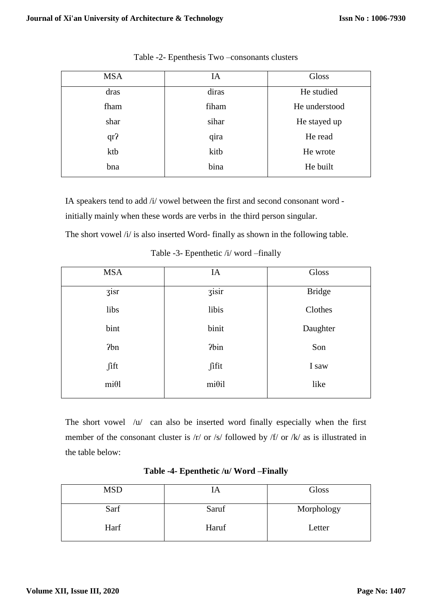| <b>MSA</b>      | IA    | Gloss         |
|-----------------|-------|---------------|
| dras            | diras | He studied    |
| fham            | fiham | He understood |
| shar            | sihar | He stayed up  |
| qr <sub>2</sub> | qira  | He read       |
| ktb             | kitb  | He wrote      |
| bna             | bina  | He built      |
|                 |       |               |

Table -2- Epenthesis Two –consonants clusters

IA speakers tend to add /i/ vowel between the first and second consonant word initially mainly when these words are verbs in the third person singular.

The short vowel /i/ is also inserted Word- finally as shown in the following table.

| <b>MSA</b> | IA                  | Gloss         |
|------------|---------------------|---------------|
| zisr       | $\overline{3}$ isir | <b>Bridge</b> |
| libs       | libis               | Clothes       |
| bint       | binit               | Daughter      |
| 2bn        | ?bin                | Son           |
| fift       | fifit               | I saw         |
| $mi\theta$ | $mi\theta$ il       | like          |

Table -3- Epenthetic /i/ word –finally

The short vowel /u/ can also be inserted word finally especially when the first member of the consonant cluster is /r/ or /s/ followed by /f/ or /k/ as is illustrated in the table below:

# **Table -4- Epenthetic /u/ Word –Finally**

| <b>MSD</b> |       | Gloss      |
|------------|-------|------------|
| Sarf       | Saruf | Morphology |
| Harf       | Haruf | Letter     |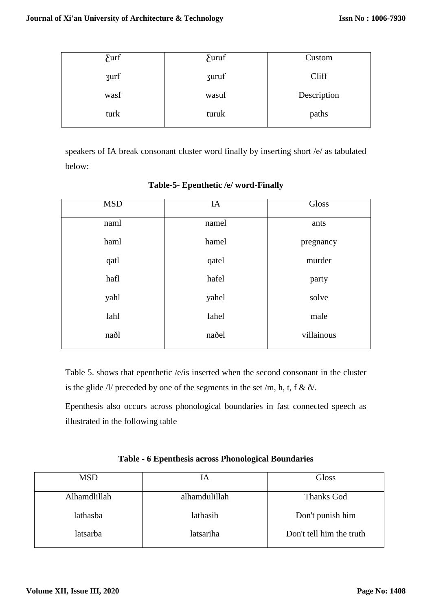| $\sum$ and $\sum$ | $\sum_{}$ | Custom      |
|-------------------|-----------|-------------|
| <b>zurf</b>       | zuruf     | Cliff       |
| wasf              | wasuf     | Description |
| turk              | turuk     | paths       |

speakers of IA break consonant cluster word finally by inserting short /e/ as tabulated below:

| <b>MSD</b> | IA    | Gloss      |
|------------|-------|------------|
| naml       | namel | ants       |
| haml       | hamel | pregnancy  |
| qatl       | qatel | murder     |
| hafl       | hafel | party      |
| yahl       | yahel | solve      |
| fahl       | fahel | male       |
| naðl       | naðel | villainous |

# **Table-5- Epenthetic /e/ word-Finally**

Table 5. shows that epenthetic /e/is inserted when the second consonant in the cluster is the glide  $\Lambda$ / preceded by one of the segments in the set /m, h, t, f &  $\delta$ /.

Epenthesis also occurs across phonological boundaries in fast connected speech as illustrated in the following table

| Table - 6 Epenthesis across Phonological Boundaries |  |
|-----------------------------------------------------|--|
|-----------------------------------------------------|--|

| <b>MSD</b>   | IA            | Gloss                    |
|--------------|---------------|--------------------------|
| Alhamdlillah | alhamdulillah | Thanks God               |
|              |               |                          |
| lathasba     | lathasib      | Don't punish him         |
| latsarba     | latsariha     | Don't tell him the truth |
|              |               |                          |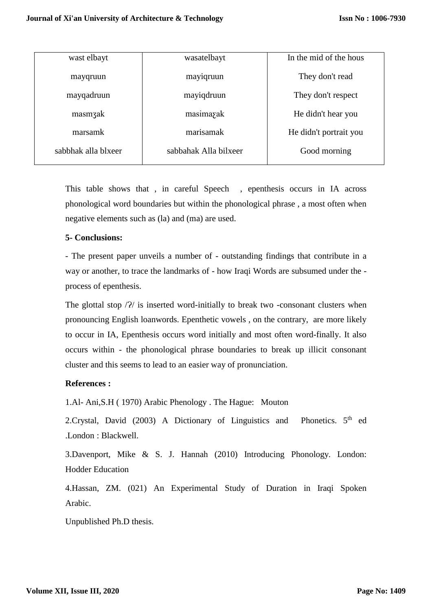| wast elbayt         | wasatelbayt           | In the mid of the hous |
|---------------------|-----------------------|------------------------|
| mayqruun            | mayiqruun             | They don't read        |
| mayqadruun          | mayiqdruun            | They don't respect     |
| masmzak             | masimazak             | He didn't hear you     |
| marsamk             | marisamak             | He didn't portrait you |
| sabbhak alla blxeer | sabbahak Alla bilxeer | Good morning           |

This table shows that , in careful Speech , epenthesis occurs in IA across phonological word boundaries but within the phonological phrase , a most often when negative elements such as (la) and (ma) are used.

#### **5- Conclusions:**

- The present paper unveils a number of - outstanding findings that contribute in a way or another, to trace the landmarks of - how Iraqi Words are subsumed under the process of epenthesis.

The glottal stop  $\frac{2}{\ell}$  is inserted word-initially to break two -consonant clusters when pronouncing English loanwords. Epenthetic vowels , on the contrary, are more likely to occur in IA, Epenthesis occurs word initially and most often word-finally. It also occurs within - the phonological phrase boundaries to break up illicit consonant cluster and this seems to lead to an easier way of pronunciation.

# **References :**

1.Al- Ani,S.H ( 1970) Arabic Phenology . The Hague: Mouton

2. Crystal, David (2003) A Dictionary of Linguistics and Phonetics.  $5<sup>th</sup>$  ed .London : Blackwell.

3.Davenport, Mike & S. J. Hannah (2010) Introducing Phonology. London: Hodder Education

4.Hassan, ZM. (021) An Experimental Study of Duration in Iraqi Spoken Arabic.

Unpublished Ph.D thesis.